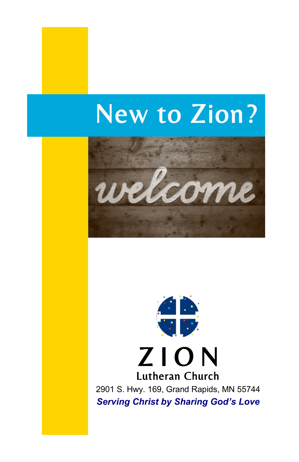# New to Zion?





*Serving Christ by Sharing God's Love*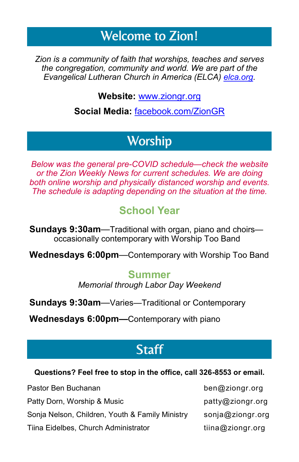## Welcome to Zion!

*Zion is a community of faith that worships, teaches and serves the congregation, community and world. We are part of the Evangelical Lutheran Church in America (ELCA) [elca.org.](http://www.elca.org)* 

**Website:** [www.ziongr.org](http://www.ziongr.org/)

**Social Media:** [facebook.com/ZionGR](http://www.facebook.com/ZionGR)

## **Worship**

*Below was the general pre-COVID schedule—check the website or the Zion Weekly News for current schedules. We are doing both online worship and physically distanced worship and events. The schedule is adapting depending on the situation at the time.*

#### **School Year**

**Sundays 9:30am**—Traditional with organ, piano and choirs occasionally contemporary with Worship Too Band

**Wednesdays 6:00pm**—Contemporary with Worship Too Band

#### **Summer**

*Memorial through Labor Day Weekend*

**Sundays 9:30am**—Varies—Traditional or Contemporary

**Wednesdays 6:00pm—**Contemporary with piano

## **Staff**

#### **Questions? Feel free to stop in the office, call 326-8553 or email.**

| Pastor Ben Buchanan                             | ben@ziongr.org   |
|-------------------------------------------------|------------------|
| Patty Dorn, Worship & Music                     | patty@ziongr.org |
| Sonja Nelson, Children, Youth & Family Ministry | sonja@ziongr.org |
| Tiina Eidelbes, Church Administrator            | tiina@ziongr.org |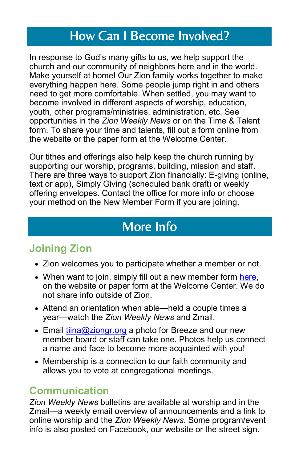## How Can I Become Involved?

In response to God's many gifts to us, we help support the church and our community of neighbors here and in the world. Make yourself at home! Our Zion family works together to make everything happen here. Some people jump right in and others need to get more comfortable. When settled, you may want to become involved in different aspects of worship, education, youth, other programs/ministries, administration, etc. See opportunities in the *Zion Weekly News* or on the Time & Talent form. To share your time and talents, fill out a form online from the website or the paper form at the Welcome Center.

Our tithes and offerings also help keep the church running by supporting our worship, programs, building, mission and staff. There are three ways to support Zion financially: E-giving (online, text or app), Simply Giving (scheduled bank draft) or weekly offering envelopes. Contact the office for more info or choose your method on the New Member Form if you are joining.

## More Info

## **Joining Zion**

- Zion welcomes you to participate whether a member or not.
- When want to join, simply fill out a new member form here, on the website or paper form at the Welcome Center. We do not share info outside of Zion.
- Attend an orientation when able—held a couple times a year—watch the *Zion Weekly News* and Zmail.
- Email [tiina@ziongr.org](mailto:tiina@ziongr.org) a photo for Breeze and our new member board or staff can take one. Photos help us connect a name and face to become more acquainted with you!
- Membership is a connection to our faith community and allows you to vote at congregational meetings.

#### **Communication**

*Zion Weekly News* bulletins are available at worship and in the Zmail—a weekly email overview of announcements and a link to online worship and the *Zion Weekly News*. Some program/event info is also posted on Facebook, our website or the street sign.